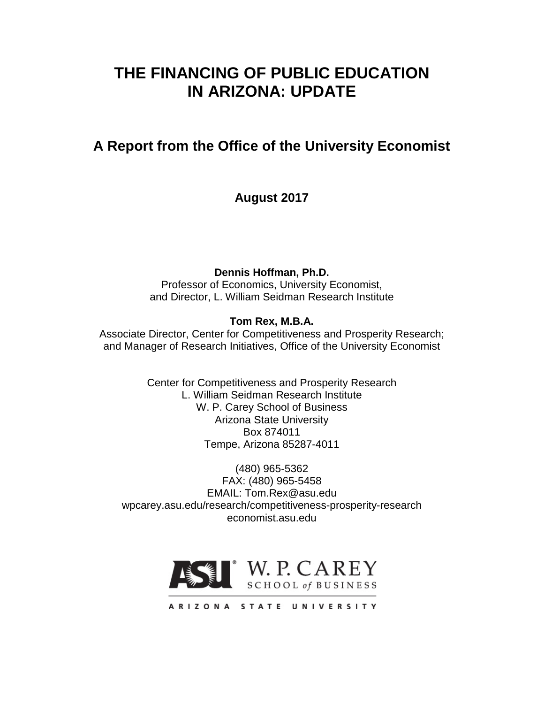# **THE FINANCING OF PUBLIC EDUCATION IN ARIZONA: UPDATE**

# **A Report from the Office of the University Economist**

**August 2017**

**Dennis Hoffman, Ph.D.**

Professor of Economics, University Economist, and Director, L. William Seidman Research Institute

# **Tom Rex, M.B.A.**

Associate Director, Center for Competitiveness and Prosperity Research; and Manager of Research Initiatives, Office of the University Economist

> Center for Competitiveness and Prosperity Research L. William Seidman Research Institute W. P. Carey School of Business Arizona State University Box 874011 Tempe, Arizona 85287-4011

(480) 965-5362 FAX: (480) 965-5458 EMAIL: Tom.Rex@asu.edu wpcarey.asu.edu/research/competitiveness-prosperity-research economist.asu.edu



ARIZONA STATE UNIVERSITY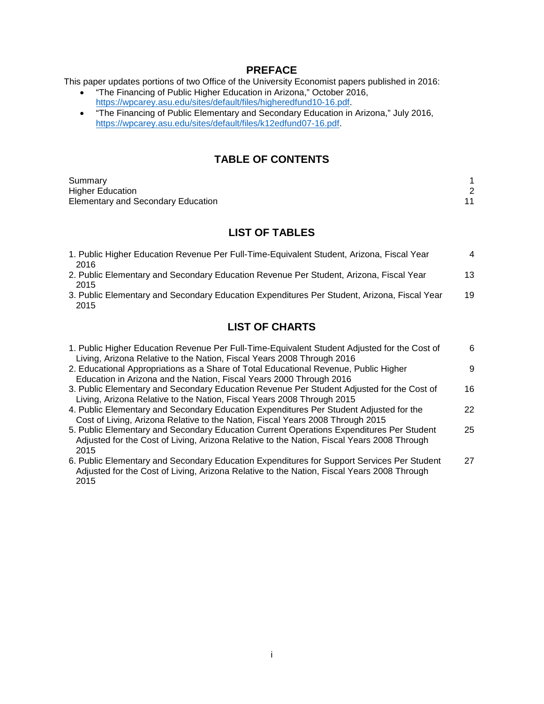#### **PREFACE**

This paper updates portions of two Office of the University Economist papers published in 2016:

- "The Financing of Public Higher Education in Arizona," October 2016, [https://wpcarey.asu.edu/sites/default/files/higheredfund10-16.pdf.](https://wpcarey.asu.edu/sites/default/files/higheredfund10-16.pdf)
- "The Financing of Public Elementary and Secondary Education in Arizona," July 2016, [https://wpcarey.asu.edu/sites/default/files/k12edfund07-16.pdf.](https://wpcarey.asu.edu/sites/default/files/k12edfund07-16.pdf)

# **TABLE OF CONTENTS**

| Summary                                   |  |
|-------------------------------------------|--|
| <b>Higher Education</b>                   |  |
| <b>Elementary and Secondary Education</b> |  |

# **LIST OF TABLES**

| 1. Public Higher Education Revenue Per Full-Time-Equivalent Student, Arizona, Fiscal Year<br>2016   | 4  |
|-----------------------------------------------------------------------------------------------------|----|
| 2. Public Elementary and Secondary Education Revenue Per Student, Arizona, Fiscal Year<br>2015      | 13 |
| 3. Public Elementary and Secondary Education Expenditures Per Student, Arizona, Fiscal Year<br>2015 | 19 |

# **LIST OF CHARTS**

| 1. Public Higher Education Revenue Per Full-Time-Equivalent Student Adjusted for the Cost of<br>Living, Arizona Relative to the Nation, Fiscal Years 2008 Through 2016                         | 6  |
|------------------------------------------------------------------------------------------------------------------------------------------------------------------------------------------------|----|
| 2. Educational Appropriations as a Share of Total Educational Revenue, Public Higher<br>Education in Arizona and the Nation, Fiscal Years 2000 Through 2016                                    | 9  |
| 3. Public Elementary and Secondary Education Revenue Per Student Adjusted for the Cost of<br>Living, Arizona Relative to the Nation, Fiscal Years 2008 Through 2015                            | 16 |
| 4. Public Elementary and Secondary Education Expenditures Per Student Adjusted for the<br>Cost of Living, Arizona Relative to the Nation, Fiscal Years 2008 Through 2015                       | 22 |
| 5. Public Elementary and Secondary Education Current Operations Expenditures Per Student<br>Adjusted for the Cost of Living, Arizona Relative to the Nation, Fiscal Years 2008 Through<br>2015 | 25 |
| 6. Public Elementary and Secondary Education Expenditures for Support Services Per Student<br>Adjusted for the Cost of Living, Arizona Relative to the Nation, Fiscal Years 2008 Through       | 27 |

2015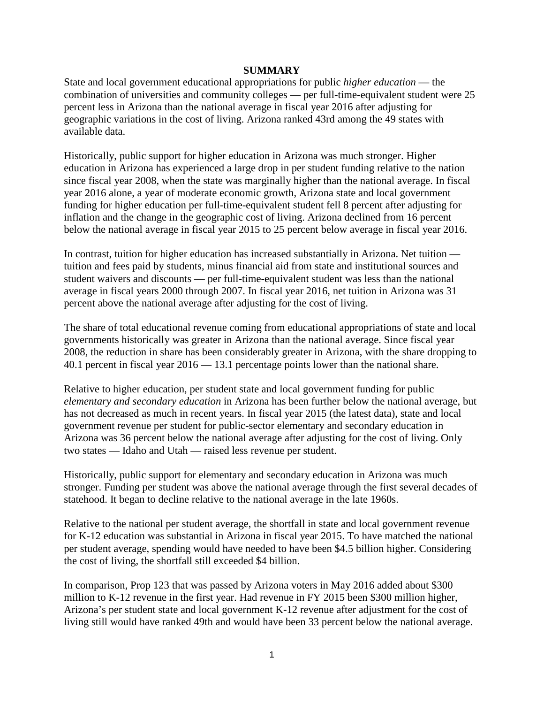#### **SUMMARY**

State and local government educational appropriations for public *higher education* — the combination of universities and community colleges — per full-time-equivalent student were 25 percent less in Arizona than the national average in fiscal year 2016 after adjusting for geographic variations in the cost of living. Arizona ranked 43rd among the 49 states with available data.

Historically, public support for higher education in Arizona was much stronger. Higher education in Arizona has experienced a large drop in per student funding relative to the nation since fiscal year 2008, when the state was marginally higher than the national average. In fiscal year 2016 alone, a year of moderate economic growth, Arizona state and local government funding for higher education per full-time-equivalent student fell 8 percent after adjusting for inflation and the change in the geographic cost of living. Arizona declined from 16 percent below the national average in fiscal year 2015 to 25 percent below average in fiscal year 2016.

In contrast, tuition for higher education has increased substantially in Arizona. Net tuition tuition and fees paid by students, minus financial aid from state and institutional sources and student waivers and discounts — per full-time-equivalent student was less than the national average in fiscal years 2000 through 2007. In fiscal year 2016, net tuition in Arizona was 31 percent above the national average after adjusting for the cost of living.

The share of total educational revenue coming from educational appropriations of state and local governments historically was greater in Arizona than the national average. Since fiscal year 2008, the reduction in share has been considerably greater in Arizona, with the share dropping to 40.1 percent in fiscal year 2016 — 13.1 percentage points lower than the national share.

Relative to higher education, per student state and local government funding for public *elementary and secondary education* in Arizona has been further below the national average, but has not decreased as much in recent years. In fiscal year 2015 (the latest data), state and local government revenue per student for public-sector elementary and secondary education in Arizona was 36 percent below the national average after adjusting for the cost of living. Only two states — Idaho and Utah — raised less revenue per student.

Historically, public support for elementary and secondary education in Arizona was much stronger. Funding per student was above the national average through the first several decades of statehood. It began to decline relative to the national average in the late 1960s.

Relative to the national per student average, the shortfall in state and local government revenue for K-12 education was substantial in Arizona in fiscal year 2015. To have matched the national per student average, spending would have needed to have been \$4.5 billion higher. Considering the cost of living, the shortfall still exceeded \$4 billion.

In comparison, Prop 123 that was passed by Arizona voters in May 2016 added about \$300 million to K-12 revenue in the first year. Had revenue in FY 2015 been \$300 million higher, Arizona's per student state and local government K-12 revenue after adjustment for the cost of living still would have ranked 49th and would have been 33 percent below the national average.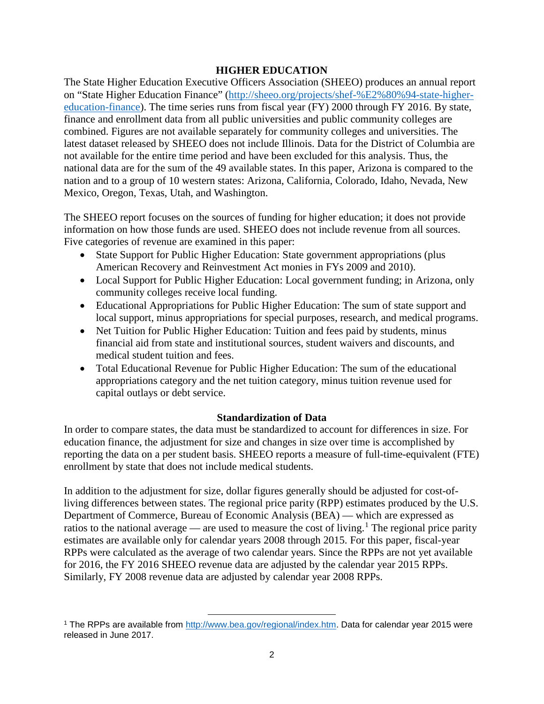#### **HIGHER EDUCATION**

The State Higher Education Executive Officers Association (SHEEO) produces an annual report on "State Higher Education Finance" [\(http://sheeo.org/projects/shef-%E2%80%94-state-higher](http://sheeo.org/projects/shef-%E2%80%94-state-higher-education-finance)[education-finance\)](http://sheeo.org/projects/shef-%E2%80%94-state-higher-education-finance). The time series runs from fiscal year (FY) 2000 through FY 2016. By state, finance and enrollment data from all public universities and public community colleges are combined. Figures are not available separately for community colleges and universities. The latest dataset released by SHEEO does not include Illinois. Data for the District of Columbia are not available for the entire time period and have been excluded for this analysis. Thus, the national data are for the sum of the 49 available states. In this paper, Arizona is compared to the nation and to a group of 10 western states: Arizona, California, Colorado, Idaho, Nevada, New Mexico, Oregon, Texas, Utah, and Washington.

The SHEEO report focuses on the sources of funding for higher education; it does not provide information on how those funds are used. SHEEO does not include revenue from all sources. Five categories of revenue are examined in this paper:

- State Support for Public Higher Education: State government appropriations (plus American Recovery and Reinvestment Act monies in FYs 2009 and 2010).
- Local Support for Public Higher Education: Local government funding; in Arizona, only community colleges receive local funding.
- Educational Appropriations for Public Higher Education: The sum of state support and local support, minus appropriations for special purposes, research, and medical programs.
- Net Tuition for Public Higher Education: Tuition and fees paid by students, minus financial aid from state and institutional sources, student waivers and discounts, and medical student tuition and fees.
- Total Educational Revenue for Public Higher Education: The sum of the educational appropriations category and the net tuition category, minus tuition revenue used for capital outlays or debt service.

#### **Standardization of Data**

In order to compare states, the data must be standardized to account for differences in size. For education finance, the adjustment for size and changes in size over time is accomplished by reporting the data on a per student basis. SHEEO reports a measure of full-time-equivalent (FTE) enrollment by state that does not include medical students.

In addition to the adjustment for size, dollar figures generally should be adjusted for cost-ofliving differences between states. The regional price parity (RPP) estimates produced by the U.S. Department of Commerce, Bureau of Economic Analysis (BEA) — which are expressed as ratios to the national average — are used to measure the cost of living.<sup>[1](#page-3-0)</sup> The regional price parity estimates are available only for calendar years 2008 through 2015. For this paper, fiscal-year RPPs were calculated as the average of two calendar years. Since the RPPs are not yet available for 2016, the FY 2016 SHEEO revenue data are adjusted by the calendar year 2015 RPPs. Similarly, FY 2008 revenue data are adjusted by calendar year 2008 RPPs.

l

<span id="page-3-0"></span><sup>1</sup> The RPPs are available from [http://www.bea.gov/regional/index.htm.](http://www.bea.gov/regional/index.htm) Data for calendar year 2015 were released in June 2017.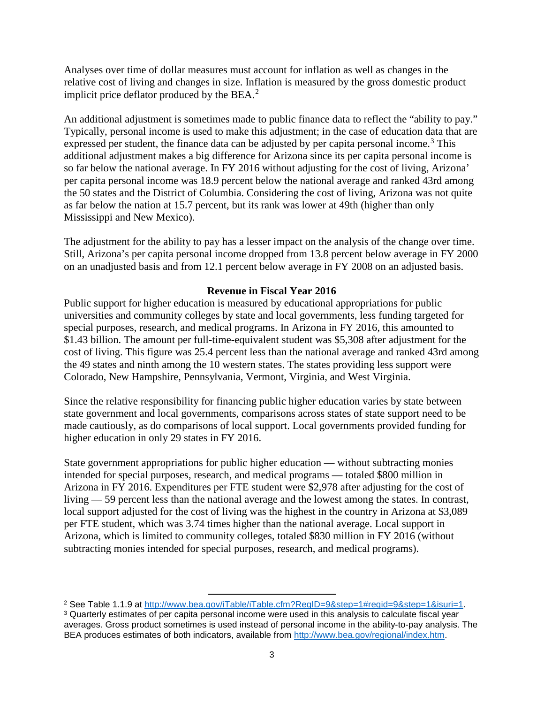Analyses over time of dollar measures must account for inflation as well as changes in the relative cost of living and changes in size. Inflation is measured by the gross domestic product implicit price deflator produced by the BEA. $<sup>2</sup>$  $<sup>2</sup>$  $<sup>2</sup>$ </sup>

An additional adjustment is sometimes made to public finance data to reflect the "ability to pay." Typically, personal income is used to make this adjustment; in the case of education data that are expressed per student, the finance data can be adjusted by per capita personal income.<sup>[3](#page-4-1)</sup> This additional adjustment makes a big difference for Arizona since its per capita personal income is so far below the national average. In FY 2016 without adjusting for the cost of living, Arizona' per capita personal income was 18.9 percent below the national average and ranked 43rd among the 50 states and the District of Columbia. Considering the cost of living, Arizona was not quite as far below the nation at 15.7 percent, but its rank was lower at 49th (higher than only Mississippi and New Mexico).

The adjustment for the ability to pay has a lesser impact on the analysis of the change over time. Still, Arizona's per capita personal income dropped from 13.8 percent below average in FY 2000 on an unadjusted basis and from 12.1 percent below average in FY 2008 on an adjusted basis.

### **Revenue in Fiscal Year 2016**

Public support for higher education is measured by educational appropriations for public universities and community colleges by state and local governments, less funding targeted for special purposes, research, and medical programs. In Arizona in FY 2016, this amounted to \$1.43 billion. The amount per full-time-equivalent student was \$5,308 after adjustment for the cost of living. This figure was 25.4 percent less than the national average and ranked 43rd among the 49 states and ninth among the 10 western states. The states providing less support were Colorado, New Hampshire, Pennsylvania, Vermont, Virginia, and West Virginia.

Since the relative responsibility for financing public higher education varies by state between state government and local governments, comparisons across states of state support need to be made cautiously, as do comparisons of local support. Local governments provided funding for higher education in only 29 states in FY 2016.

State government appropriations for public higher education — without subtracting monies intended for special purposes, research, and medical programs — totaled \$800 million in Arizona in FY 2016. Expenditures per FTE student were \$2,978 after adjusting for the cost of living — 59 percent less than the national average and the lowest among the states. In contrast, local support adjusted for the cost of living was the highest in the country in Arizona at \$3,089 per FTE student, which was 3.74 times higher than the national average. Local support in Arizona, which is limited to community colleges, totaled \$830 million in FY 2016 (without subtracting monies intended for special purposes, research, and medical programs).

l

<span id="page-4-1"></span><span id="page-4-0"></span><sup>&</sup>lt;sup>2</sup> See Table 1.1.9 at [http://www.bea.gov/iTable/iTable.cfm?ReqID=9&step=1#reqid=9&step=1&isuri=1.](http://www.bea.gov/iTable/iTable.cfm?ReqID=9&step=1#reqid=9&step=1&isuri=1) <sup>3</sup> Quarterly estimates of per capita personal income were used in this analysis to calculate fiscal year averages. Gross product sometimes is used instead of personal income in the ability-to-pay analysis. The BEA produces estimates of both indicators, available from [http://www.bea.gov/regional/index.htm.](http://www.bea.gov/regional/index.htm)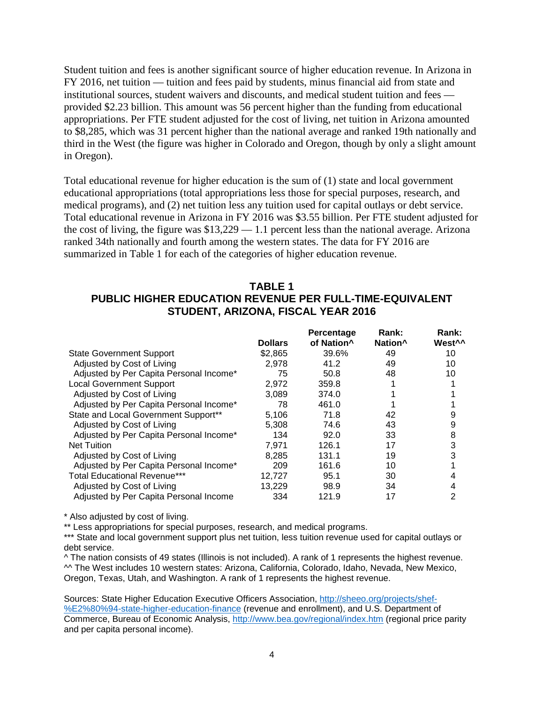Student tuition and fees is another significant source of higher education revenue. In Arizona in FY 2016, net tuition — tuition and fees paid by students, minus financial aid from state and institutional sources, student waivers and discounts, and medical student tuition and fees provided \$2.23 billion. This amount was 56 percent higher than the funding from educational appropriations. Per FTE student adjusted for the cost of living, net tuition in Arizona amounted to \$8,285, which was 31 percent higher than the national average and ranked 19th nationally and third in the West (the figure was higher in Colorado and Oregon, though by only a slight amount in Oregon).

Total educational revenue for higher education is the sum of (1) state and local government educational appropriations (total appropriations less those for special purposes, research, and medical programs), and (2) net tuition less any tuition used for capital outlays or debt service. Total educational revenue in Arizona in FY 2016 was \$3.55 billion. Per FTE student adjusted for the cost of living, the figure was \$13,229 — 1.1 percent less than the national average. Arizona ranked 34th nationally and fourth among the western states. The data for FY 2016 are summarized in Table 1 for each of the categories of higher education revenue.

#### **TABLE 1 PUBLIC HIGHER EDUCATION REVENUE PER FULL-TIME-EQUIVALENT STUDENT, ARIZONA, FISCAL YEAR 2016**

|                                         |                | Percentage             | Rank:               | Rank:              |
|-----------------------------------------|----------------|------------------------|---------------------|--------------------|
|                                         | <b>Dollars</b> | of Nation <sup>^</sup> | Nation <sup>^</sup> | West <sup>^^</sup> |
| <b>State Government Support</b>         | \$2,865        | 39.6%                  | 49                  | 10                 |
| Adjusted by Cost of Living              | 2.978          | 41.2                   | 49                  | 10                 |
| Adjusted by Per Capita Personal Income* | 75             | 50.8                   | 48                  | 10                 |
| <b>Local Government Support</b>         | 2.972          | 359.8                  |                     |                    |
| Adjusted by Cost of Living              | 3,089          | 374.0                  |                     |                    |
| Adjusted by Per Capita Personal Income* | 78             | 461.0                  |                     |                    |
| State and Local Government Support**    | 5,106          | 71.8                   | 42                  | 9                  |
| Adjusted by Cost of Living              | 5.308          | 74.6                   | 43                  | 9                  |
| Adjusted by Per Capita Personal Income* | 134            | 92.0                   | 33                  | 8                  |
| <b>Net Tuition</b>                      | 7.971          | 126.1                  | 17                  | 3                  |
| Adjusted by Cost of Living              | 8,285          | 131.1                  | 19                  | 3                  |
| Adjusted by Per Capita Personal Income* | 209            | 161.6                  | 10                  |                    |
| <b>Total Educational Revenue***</b>     | 12.727         | 95.1                   | 30                  |                    |
| Adjusted by Cost of Living              | 13,229         | 98.9                   | 34                  |                    |
| Adjusted by Per Capita Personal Income  | 334            | 121.9                  | 17                  | 2                  |

\* Also adjusted by cost of living.

\*\* Less appropriations for special purposes, research, and medical programs.

\*\*\* State and local government support plus net tuition, less tuition revenue used for capital outlays or debt service.

^ The nation consists of 49 states (Illinois is not included). A rank of 1 represents the highest revenue. ^^ The West includes 10 western states: Arizona, California, Colorado, Idaho, Nevada, New Mexico, Oregon, Texas, Utah, and Washington. A rank of 1 represents the highest revenue.

Sources: State Higher Education Executive Officers Association, [http://sheeo.org/projects/shef-](http://sheeo.org/projects/shef-%E2%80%94-state-higher-education-finance) [%E2%80%94-state-higher-education-finance](http://sheeo.org/projects/shef-%E2%80%94-state-higher-education-finance) (revenue and enrollment), and U.S. Department of Commerce, Bureau of Economic Analysis,<http://www.bea.gov/regional/index.htm> (regional price parity and per capita personal income).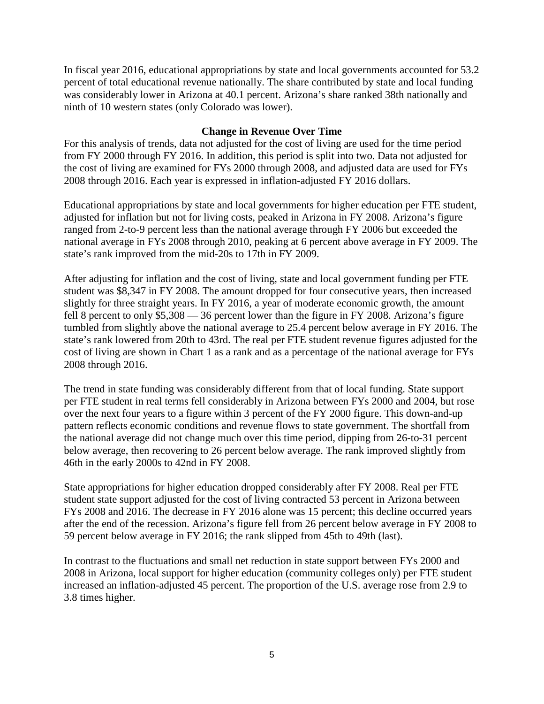In fiscal year 2016, educational appropriations by state and local governments accounted for 53.2 percent of total educational revenue nationally. The share contributed by state and local funding was considerably lower in Arizona at 40.1 percent. Arizona's share ranked 38th nationally and ninth of 10 western states (only Colorado was lower).

#### **Change in Revenue Over Time**

For this analysis of trends, data not adjusted for the cost of living are used for the time period from FY 2000 through FY 2016. In addition, this period is split into two. Data not adjusted for the cost of living are examined for FYs 2000 through 2008, and adjusted data are used for FYs 2008 through 2016. Each year is expressed in inflation-adjusted FY 2016 dollars.

Educational appropriations by state and local governments for higher education per FTE student, adjusted for inflation but not for living costs, peaked in Arizona in FY 2008. Arizona's figure ranged from 2-to-9 percent less than the national average through FY 2006 but exceeded the national average in FYs 2008 through 2010, peaking at 6 percent above average in FY 2009. The state's rank improved from the mid-20s to 17th in FY 2009.

After adjusting for inflation and the cost of living, state and local government funding per FTE student was \$8,347 in FY 2008. The amount dropped for four consecutive years, then increased slightly for three straight years. In FY 2016, a year of moderate economic growth, the amount fell 8 percent to only \$5,308 — 36 percent lower than the figure in FY 2008. Arizona's figure tumbled from slightly above the national average to 25.4 percent below average in FY 2016. The state's rank lowered from 20th to 43rd. The real per FTE student revenue figures adjusted for the cost of living are shown in Chart 1 as a rank and as a percentage of the national average for FYs 2008 through 2016.

The trend in state funding was considerably different from that of local funding. State support per FTE student in real terms fell considerably in Arizona between FYs 2000 and 2004, but rose over the next four years to a figure within 3 percent of the FY 2000 figure. This down-and-up pattern reflects economic conditions and revenue flows to state government. The shortfall from the national average did not change much over this time period, dipping from 26-to-31 percent below average, then recovering to 26 percent below average. The rank improved slightly from 46th in the early 2000s to 42nd in FY 2008.

State appropriations for higher education dropped considerably after FY 2008. Real per FTE student state support adjusted for the cost of living contracted 53 percent in Arizona between FYs 2008 and 2016. The decrease in FY 2016 alone was 15 percent; this decline occurred years after the end of the recession. Arizona's figure fell from 26 percent below average in FY 2008 to 59 percent below average in FY 2016; the rank slipped from 45th to 49th (last).

In contrast to the fluctuations and small net reduction in state support between FYs 2000 and 2008 in Arizona, local support for higher education (community colleges only) per FTE student increased an inflation-adjusted 45 percent. The proportion of the U.S. average rose from 2.9 to 3.8 times higher.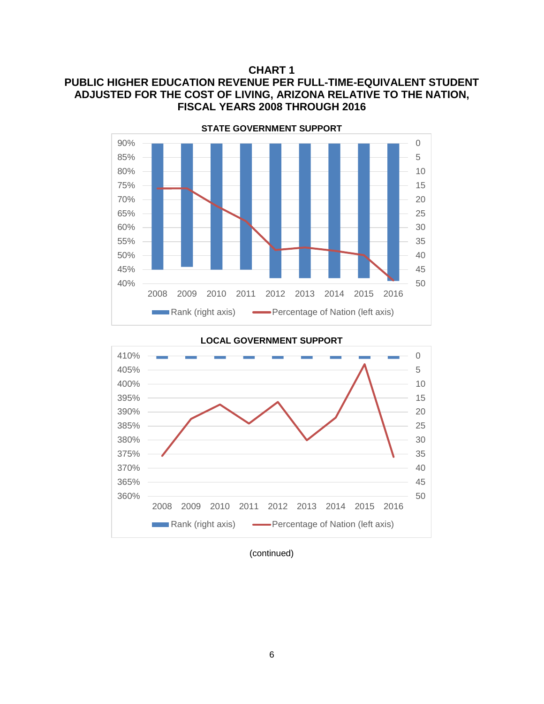#### **CHART 1**

# **PUBLIC HIGHER EDUCATION REVENUE PER FULL-TIME-EQUIVALENT STUDENT ADJUSTED FOR THE COST OF LIVING, ARIZONA RELATIVE TO THE NATION, FISCAL YEARS 2008 THROUGH 2016**



#### 0 5 10 15 20 25 30 35 40 45 360% 50 365% 370% 375% 380% 385% 390% 395% 400% 405% 410% 2008 2009 2010 2011 2012 2013 2014 2015 2016 **Rank (right axis)** Percentage of Nation (left axis)

#### **LOCAL GOVERNMENT SUPPORT**

(continued)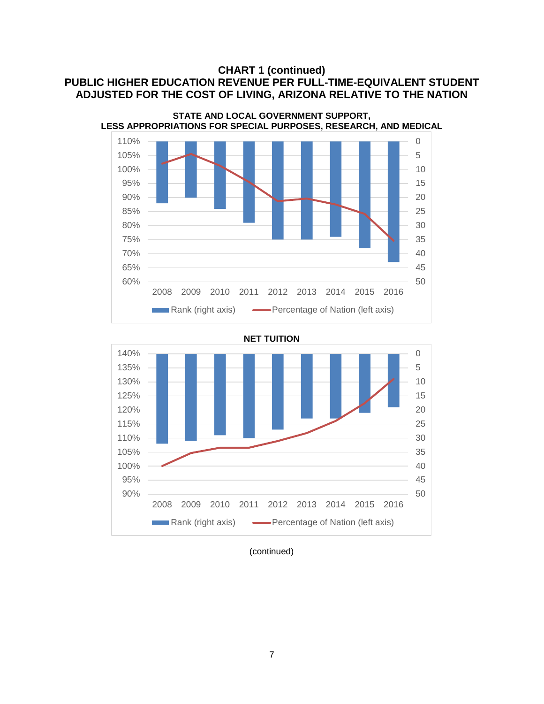# **CHART 1 (continued) PUBLIC HIGHER EDUCATION REVENUE PER FULL-TIME-EQUIVALENT STUDENT ADJUSTED FOR THE COST OF LIVING, ARIZONA RELATIVE TO THE NATION**



**NET TUITION**



(continued)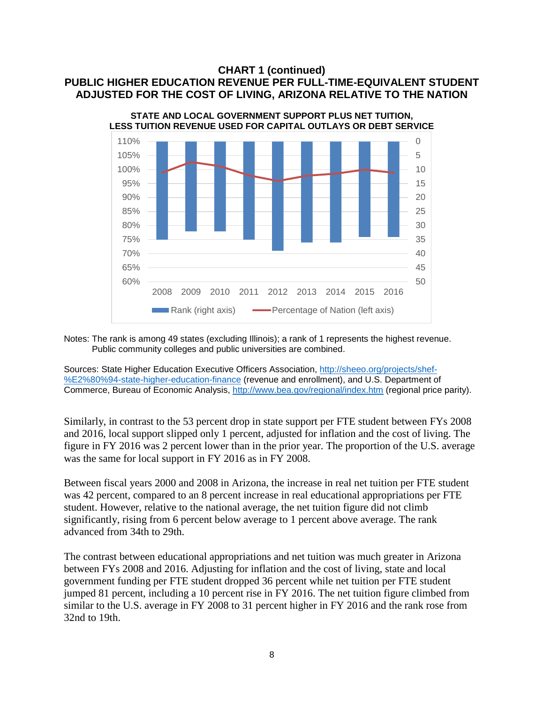## **CHART 1 (continued) PUBLIC HIGHER EDUCATION REVENUE PER FULL-TIME-EQUIVALENT STUDENT ADJUSTED FOR THE COST OF LIVING, ARIZONA RELATIVE TO THE NATION**



Notes: The rank is among 49 states (excluding Illinois); a rank of 1 represents the highest revenue. Public community colleges and public universities are combined.

Sources: State Higher Education Executive Officers Association, [http://sheeo.org/projects/shef-](http://sheeo.org/projects/shef-%E2%80%94-state-higher-education-finance) [%E2%80%94-state-higher-education-finance](http://sheeo.org/projects/shef-%E2%80%94-state-higher-education-finance) (revenue and enrollment), and U.S. Department of Commerce, Bureau of Economic Analysis,<http://www.bea.gov/regional/index.htm> (regional price parity).

Similarly, in contrast to the 53 percent drop in state support per FTE student between FYs 2008 and 2016, local support slipped only 1 percent, adjusted for inflation and the cost of living. The figure in FY 2016 was 2 percent lower than in the prior year. The proportion of the U.S. average was the same for local support in FY 2016 as in FY 2008.

Between fiscal years 2000 and 2008 in Arizona, the increase in real net tuition per FTE student was 42 percent, compared to an 8 percent increase in real educational appropriations per FTE student. However, relative to the national average, the net tuition figure did not climb significantly, rising from 6 percent below average to 1 percent above average. The rank advanced from 34th to 29th.

The contrast between educational appropriations and net tuition was much greater in Arizona between FYs 2008 and 2016. Adjusting for inflation and the cost of living, state and local government funding per FTE student dropped 36 percent while net tuition per FTE student jumped 81 percent, including a 10 percent rise in FY 2016. The net tuition figure climbed from similar to the U.S. average in FY 2008 to 31 percent higher in FY 2016 and the rank rose from 32nd to 19th.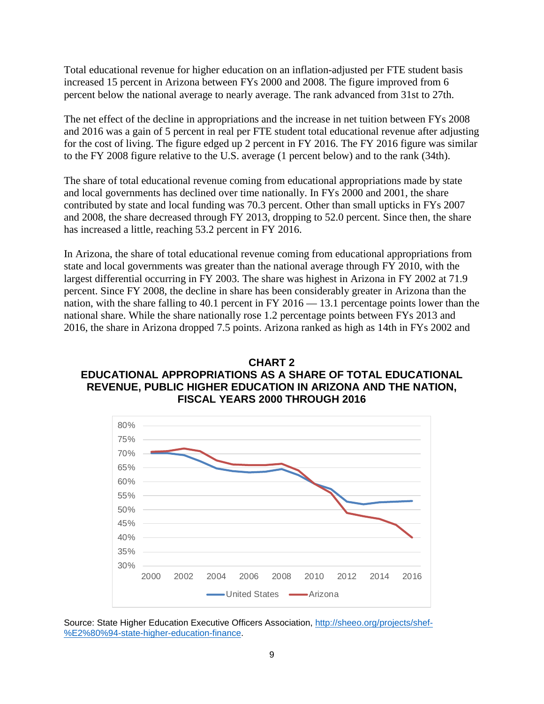Total educational revenue for higher education on an inflation-adjusted per FTE student basis increased 15 percent in Arizona between FYs 2000 and 2008. The figure improved from 6 percent below the national average to nearly average. The rank advanced from 31st to 27th.

The net effect of the decline in appropriations and the increase in net tuition between FYs 2008 and 2016 was a gain of 5 percent in real per FTE student total educational revenue after adjusting for the cost of living. The figure edged up 2 percent in FY 2016. The FY 2016 figure was similar to the FY 2008 figure relative to the U.S. average (1 percent below) and to the rank (34th).

The share of total educational revenue coming from educational appropriations made by state and local governments has declined over time nationally. In FYs 2000 and 2001, the share contributed by state and local funding was 70.3 percent. Other than small upticks in FYs 2007 and 2008, the share decreased through FY 2013, dropping to 52.0 percent. Since then, the share has increased a little, reaching 53.2 percent in FY 2016.

In Arizona, the share of total educational revenue coming from educational appropriations from state and local governments was greater than the national average through FY 2010, with the largest differential occurring in FY 2003. The share was highest in Arizona in FY 2002 at 71.9 percent. Since FY 2008, the decline in share has been considerably greater in Arizona than the nation, with the share falling to 40.1 percent in FY 2016 — 13.1 percentage points lower than the national share. While the share nationally rose 1.2 percentage points between FYs 2013 and 2016, the share in Arizona dropped 7.5 points. Arizona ranked as high as 14th in FYs 2002 and





Source: State Higher Education Executive Officers Association, [http://sheeo.org/projects/shef-](http://sheeo.org/projects/shef-%E2%80%94-state-higher-education-finance) [%E2%80%94-state-higher-education-finance.](http://sheeo.org/projects/shef-%E2%80%94-state-higher-education-finance)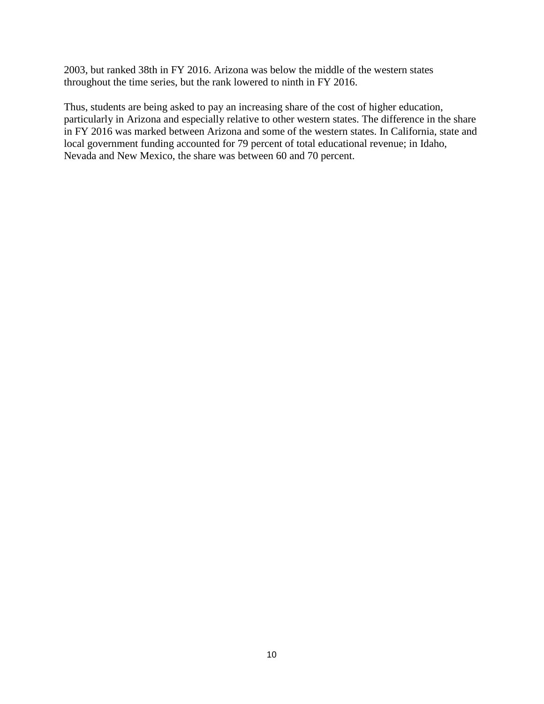2003, but ranked 38th in FY 2016. Arizona was below the middle of the western states throughout the time series, but the rank lowered to ninth in FY 2016.

Thus, students are being asked to pay an increasing share of the cost of higher education, particularly in Arizona and especially relative to other western states. The difference in the share in FY 2016 was marked between Arizona and some of the western states. In California, state and local government funding accounted for 79 percent of total educational revenue; in Idaho, Nevada and New Mexico, the share was between 60 and 70 percent.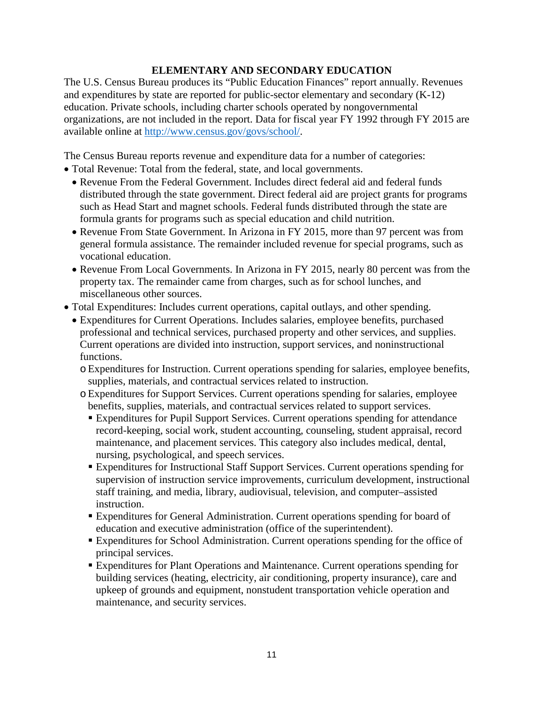# **ELEMENTARY AND SECONDARY EDUCATION**

The U.S. Census Bureau produces its "Public Education Finances" report annually. Revenues and expenditures by state are reported for public-sector elementary and secondary (K-12) education. Private schools, including charter schools operated by nongovernmental organizations, are not included in the report. Data for fiscal year FY 1992 through FY 2015 are available online at [http://www.census.gov/govs/school/.](http://www.census.gov/govs/school/)

The Census Bureau reports revenue and expenditure data for a number of categories:

- Total Revenue: Total from the federal, state, and local governments.
	- Revenue From the Federal Government. Includes direct federal aid and federal funds distributed through the state government. Direct federal aid are project grants for programs such as Head Start and magnet schools. Federal funds distributed through the state are formula grants for programs such as special education and child nutrition.
	- Revenue From State Government. In Arizona in FY 2015, more than 97 percent was from general formula assistance. The remainder included revenue for special programs, such as vocational education.
	- Revenue From Local Governments. In Arizona in FY 2015, nearly 80 percent was from the property tax. The remainder came from charges, such as for school lunches, and miscellaneous other sources.
- Total Expenditures: Includes current operations, capital outlays, and other spending.
	- Expenditures for Current Operations. Includes salaries, employee benefits, purchased professional and technical services, purchased property and other services, and supplies. Current operations are divided into instruction, support services, and noninstructional functions.
		- oExpenditures for Instruction. Current operations spending for salaries, employee benefits, supplies, materials, and contractual services related to instruction.
		- oExpenditures for Support Services. Current operations spending for salaries, employee benefits, supplies, materials, and contractual services related to support services.
			- Expenditures for Pupil Support Services. Current operations spending for attendance record-keeping, social work, student accounting, counseling, student appraisal, record maintenance, and placement services. This category also includes medical, dental, nursing, psychological, and speech services.
			- Expenditures for Instructional Staff Support Services. Current operations spending for supervision of instruction service improvements, curriculum development, instructional staff training, and media, library, audiovisual, television, and computer–assisted instruction.
			- Expenditures for General Administration. Current operations spending for board of education and executive administration (office of the superintendent).
			- Expenditures for School Administration. Current operations spending for the office of principal services.
			- Expenditures for Plant Operations and Maintenance. Current operations spending for building services (heating, electricity, air conditioning, property insurance), care and upkeep of grounds and equipment, nonstudent transportation vehicle operation and maintenance, and security services.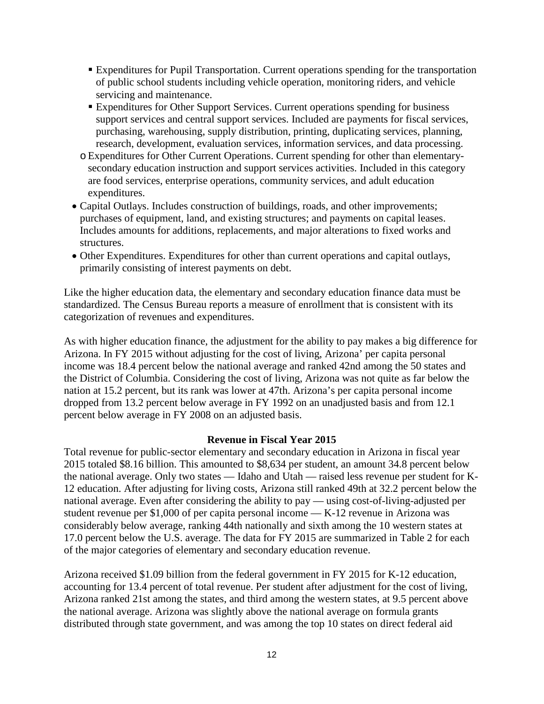- Expenditures for Pupil Transportation. Current operations spending for the transportation of public school students including vehicle operation, monitoring riders, and vehicle servicing and maintenance.
- Expenditures for Other Support Services. Current operations spending for business support services and central support services. Included are payments for fiscal services, purchasing, warehousing, supply distribution, printing, duplicating services, planning, research, development, evaluation services, information services, and data processing.
- oExpenditures for Other Current Operations. Current spending for other than elementarysecondary education instruction and support services activities. Included in this category are food services, enterprise operations, community services, and adult education expenditures.
- Capital Outlays. Includes construction of buildings, roads, and other improvements; purchases of equipment, land, and existing structures; and payments on capital leases. Includes amounts for additions, replacements, and major alterations to fixed works and structures.
- Other Expenditures. Expenditures for other than current operations and capital outlays, primarily consisting of interest payments on debt.

Like the higher education data, the elementary and secondary education finance data must be standardized. The Census Bureau reports a measure of enrollment that is consistent with its categorization of revenues and expenditures.

As with higher education finance, the adjustment for the ability to pay makes a big difference for Arizona. In FY 2015 without adjusting for the cost of living, Arizona' per capita personal income was 18.4 percent below the national average and ranked 42nd among the 50 states and the District of Columbia. Considering the cost of living, Arizona was not quite as far below the nation at 15.2 percent, but its rank was lower at 47th. Arizona's per capita personal income dropped from 13.2 percent below average in FY 1992 on an unadjusted basis and from 12.1 percent below average in FY 2008 on an adjusted basis.

#### **Revenue in Fiscal Year 2015**

Total revenue for public-sector elementary and secondary education in Arizona in fiscal year 2015 totaled \$8.16 billion. This amounted to \$8,634 per student, an amount 34.8 percent below the national average. Only two states — Idaho and Utah — raised less revenue per student for K-12 education. After adjusting for living costs, Arizona still ranked 49th at 32.2 percent below the national average. Even after considering the ability to pay — using cost-of-living-adjusted per student revenue per \$1,000 of per capita personal income — K-12 revenue in Arizona was considerably below average, ranking 44th nationally and sixth among the 10 western states at 17.0 percent below the U.S. average. The data for FY 2015 are summarized in Table 2 for each of the major categories of elementary and secondary education revenue.

Arizona received \$1.09 billion from the federal government in FY 2015 for K-12 education, accounting for 13.4 percent of total revenue. Per student after adjustment for the cost of living, Arizona ranked 21st among the states, and third among the western states, at 9.5 percent above the national average. Arizona was slightly above the national average on formula grants distributed through state government, and was among the top 10 states on direct federal aid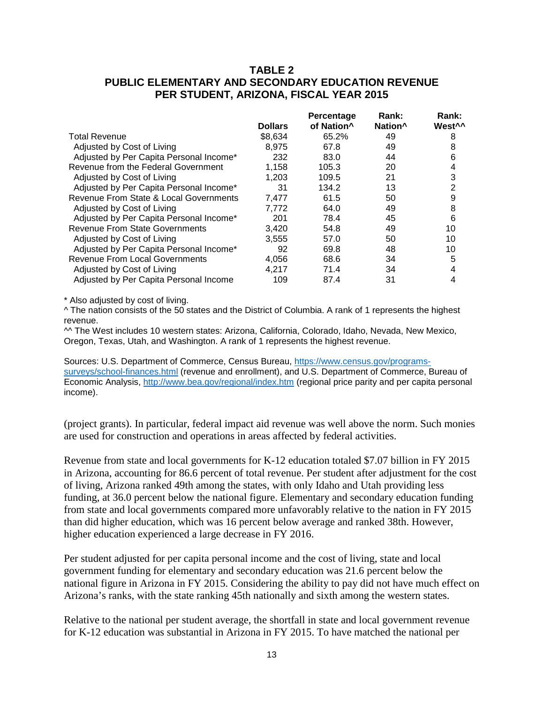# **TABLE 2 PUBLIC ELEMENTARY AND SECONDARY EDUCATION REVENUE PER STUDENT, ARIZONA, FISCAL YEAR 2015**

|                | Percentage             | Rank:               | <b>Rank:</b>       |
|----------------|------------------------|---------------------|--------------------|
| <b>Dollars</b> | of Nation <sup>^</sup> | Nation <sup>^</sup> | West <sup>^^</sup> |
| \$8.634        | 65.2%                  | 49                  | 8                  |
| 8.975          | 67.8                   | 49                  | 8                  |
| 232            | 83.0                   | 44                  | 6                  |
| 1.158          | 105.3                  | 20                  | 4                  |
| 1.203          | 109.5                  | 21                  | 3                  |
| 31             | 134.2                  | 13                  | 2                  |
| 7,477          | 61.5                   | 50                  | 9                  |
| 7.772          | 64.0                   | 49                  | 8                  |
| 201            | 78.4                   | 45                  | 6                  |
| 3.420          | 54.8                   | 49                  | 10                 |
| 3.555          | 57.0                   | 50                  | 10                 |
| 92             | 69.8                   | 48                  | 10                 |
| 4,056          | 68.6                   | 34                  | 5                  |
| 4.217          | 71.4                   | 34                  | 4                  |
| 109            | 87.4                   | 31                  | 4                  |
|                |                        |                     |                    |

\* Also adjusted by cost of living.

^ The nation consists of the 50 states and the District of Columbia. A rank of 1 represents the highest revenue.

^^ The West includes 10 western states: Arizona, California, Colorado, Idaho, Nevada, New Mexico, Oregon, Texas, Utah, and Washington. A rank of 1 represents the highest revenue.

Sources: U.S. Department of Commerce, Census Bureau, [https://www.census.gov/programs](https://www.census.gov/programs-surveys/school-finances.html)[surveys/school-finances.html](https://www.census.gov/programs-surveys/school-finances.html) (revenue and enrollment), and U.S. Department of Commerce, Bureau of Economic Analysis,<http://www.bea.gov/regional/index.htm> (regional price parity and per capita personal income).

(project grants). In particular, federal impact aid revenue was well above the norm. Such monies are used for construction and operations in areas affected by federal activities.

Revenue from state and local governments for K-12 education totaled \$7.07 billion in FY 2015 in Arizona, accounting for 86.6 percent of total revenue. Per student after adjustment for the cost of living, Arizona ranked 49th among the states, with only Idaho and Utah providing less funding, at 36.0 percent below the national figure. Elementary and secondary education funding from state and local governments compared more unfavorably relative to the nation in FY 2015 than did higher education, which was 16 percent below average and ranked 38th. However, higher education experienced a large decrease in FY 2016.

Per student adjusted for per capita personal income and the cost of living, state and local government funding for elementary and secondary education was 21.6 percent below the national figure in Arizona in FY 2015. Considering the ability to pay did not have much effect on Arizona's ranks, with the state ranking 45th nationally and sixth among the western states.

Relative to the national per student average, the shortfall in state and local government revenue for K-12 education was substantial in Arizona in FY 2015. To have matched the national per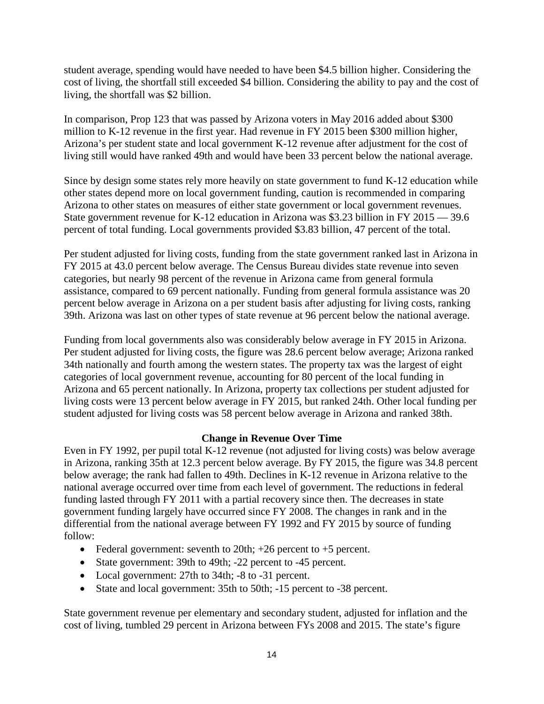student average, spending would have needed to have been \$4.5 billion higher. Considering the cost of living, the shortfall still exceeded \$4 billion. Considering the ability to pay and the cost of living, the shortfall was \$2 billion.

In comparison, Prop 123 that was passed by Arizona voters in May 2016 added about \$300 million to K-12 revenue in the first year. Had revenue in FY 2015 been \$300 million higher, Arizona's per student state and local government K-12 revenue after adjustment for the cost of living still would have ranked 49th and would have been 33 percent below the national average.

Since by design some states rely more heavily on state government to fund K-12 education while other states depend more on local government funding, caution is recommended in comparing Arizona to other states on measures of either state government or local government revenues. State government revenue for K-12 education in Arizona was \$3.23 billion in FY 2015 — 39.6 percent of total funding. Local governments provided \$3.83 billion, 47 percent of the total.

Per student adjusted for living costs, funding from the state government ranked last in Arizona in FY 2015 at 43.0 percent below average. The Census Bureau divides state revenue into seven categories, but nearly 98 percent of the revenue in Arizona came from general formula assistance, compared to 69 percent nationally. Funding from general formula assistance was 20 percent below average in Arizona on a per student basis after adjusting for living costs, ranking 39th. Arizona was last on other types of state revenue at 96 percent below the national average.

Funding from local governments also was considerably below average in FY 2015 in Arizona. Per student adjusted for living costs, the figure was 28.6 percent below average; Arizona ranked 34th nationally and fourth among the western states. The property tax was the largest of eight categories of local government revenue, accounting for 80 percent of the local funding in Arizona and 65 percent nationally. In Arizona, property tax collections per student adjusted for living costs were 13 percent below average in FY 2015, but ranked 24th. Other local funding per student adjusted for living costs was 58 percent below average in Arizona and ranked 38th.

# **Change in Revenue Over Time**

Even in FY 1992, per pupil total K-12 revenue (not adjusted for living costs) was below average in Arizona, ranking 35th at 12.3 percent below average. By FY 2015, the figure was 34.8 percent below average; the rank had fallen to 49th. Declines in K-12 revenue in Arizona relative to the national average occurred over time from each level of government. The reductions in federal funding lasted through FY 2011 with a partial recovery since then. The decreases in state government funding largely have occurred since FY 2008. The changes in rank and in the differential from the national average between FY 1992 and FY 2015 by source of funding follow:

- Federal government: seventh to 20th;  $+26$  percent to  $+5$  percent.
- State government: 39th to 49th; -22 percent to -45 percent.
- Local government: 27th to 34th; -8 to -31 percent.
- State and local government: 35th to 50th; -15 percent to -38 percent.

State government revenue per elementary and secondary student, adjusted for inflation and the cost of living, tumbled 29 percent in Arizona between FYs 2008 and 2015. The state's figure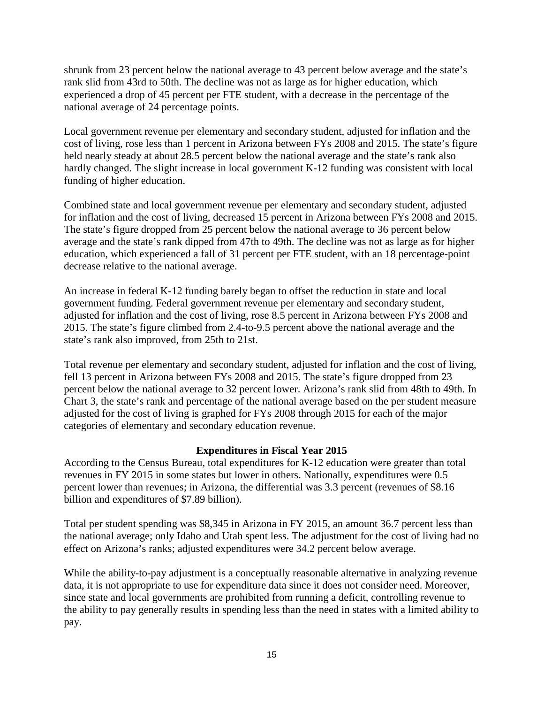shrunk from 23 percent below the national average to 43 percent below average and the state's rank slid from 43rd to 50th. The decline was not as large as for higher education, which experienced a drop of 45 percent per FTE student, with a decrease in the percentage of the national average of 24 percentage points.

Local government revenue per elementary and secondary student, adjusted for inflation and the cost of living, rose less than 1 percent in Arizona between FYs 2008 and 2015. The state's figure held nearly steady at about 28.5 percent below the national average and the state's rank also hardly changed. The slight increase in local government K-12 funding was consistent with local funding of higher education.

Combined state and local government revenue per elementary and secondary student, adjusted for inflation and the cost of living, decreased 15 percent in Arizona between FYs 2008 and 2015. The state's figure dropped from 25 percent below the national average to 36 percent below average and the state's rank dipped from 47th to 49th. The decline was not as large as for higher education, which experienced a fall of 31 percent per FTE student, with an 18 percentage-point decrease relative to the national average.

An increase in federal K-12 funding barely began to offset the reduction in state and local government funding. Federal government revenue per elementary and secondary student, adjusted for inflation and the cost of living, rose 8.5 percent in Arizona between FYs 2008 and 2015. The state's figure climbed from 2.4-to-9.5 percent above the national average and the state's rank also improved, from 25th to 21st.

Total revenue per elementary and secondary student, adjusted for inflation and the cost of living, fell 13 percent in Arizona between FYs 2008 and 2015. The state's figure dropped from 23 percent below the national average to 32 percent lower. Arizona's rank slid from 48th to 49th. In Chart 3, the state's rank and percentage of the national average based on the per student measure adjusted for the cost of living is graphed for FYs 2008 through 2015 for each of the major categories of elementary and secondary education revenue.

# **Expenditures in Fiscal Year 2015**

According to the Census Bureau, total expenditures for K-12 education were greater than total revenues in FY 2015 in some states but lower in others. Nationally, expenditures were 0.5 percent lower than revenues; in Arizona, the differential was 3.3 percent (revenues of \$8.16 billion and expenditures of \$7.89 billion).

Total per student spending was \$8,345 in Arizona in FY 2015, an amount 36.7 percent less than the national average; only Idaho and Utah spent less. The adjustment for the cost of living had no effect on Arizona's ranks; adjusted expenditures were 34.2 percent below average.

While the ability-to-pay adjustment is a conceptually reasonable alternative in analyzing revenue data, it is not appropriate to use for expenditure data since it does not consider need. Moreover, since state and local governments are prohibited from running a deficit, controlling revenue to the ability to pay generally results in spending less than the need in states with a limited ability to pay.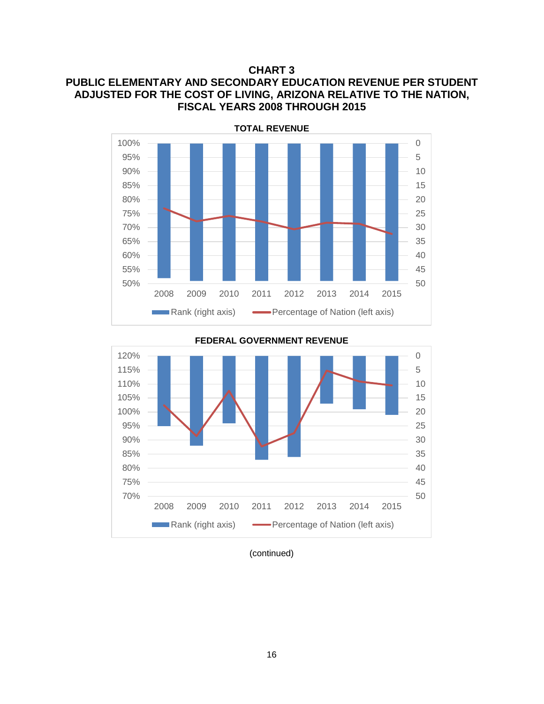**CHART 3**

# **PUBLIC ELEMENTARY AND SECONDARY EDUCATION REVENUE PER STUDENT ADJUSTED FOR THE COST OF LIVING, ARIZONA RELATIVE TO THE NATION, FISCAL YEARS 2008 THROUGH 2015**



**FEDERAL GOVERNMENT REVENUE**



(continued)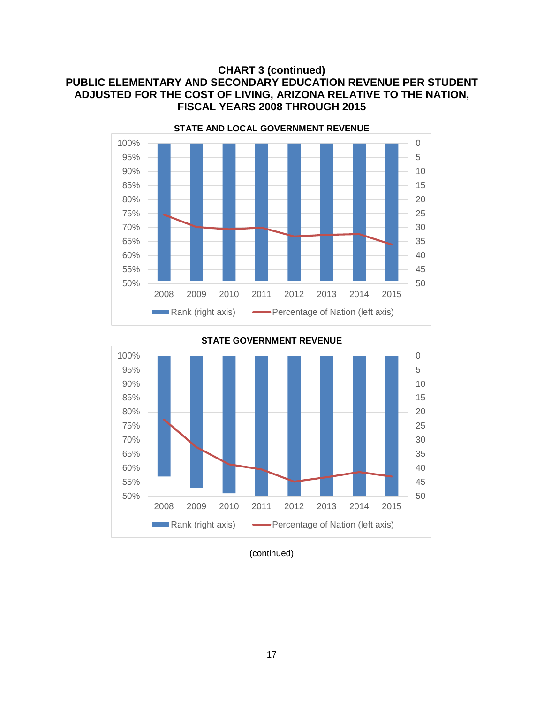# **CHART 3 (continued) PUBLIC ELEMENTARY AND SECONDARY EDUCATION REVENUE PER STUDENT ADJUSTED FOR THE COST OF LIVING, ARIZONA RELATIVE TO THE NATION, FISCAL YEARS 2008 THROUGH 2015**





#### **STATE GOVERNMENT REVENUE**

(continued)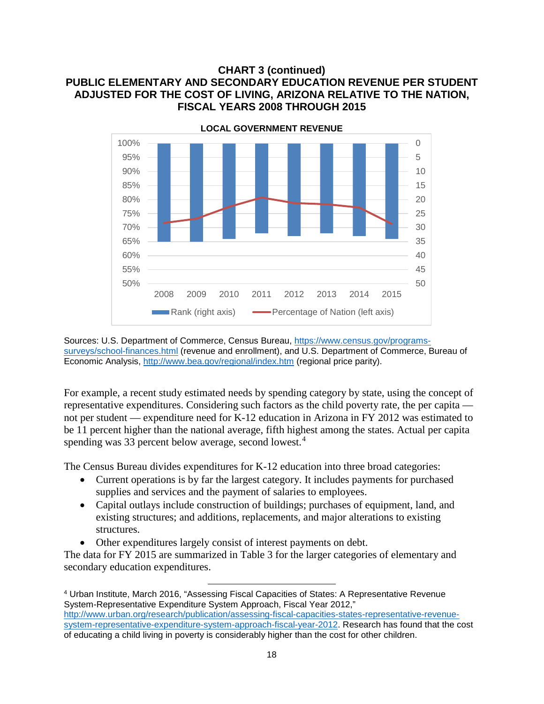# **CHART 3 (continued) PUBLIC ELEMENTARY AND SECONDARY EDUCATION REVENUE PER STUDENT ADJUSTED FOR THE COST OF LIVING, ARIZONA RELATIVE TO THE NATION, FISCAL YEARS 2008 THROUGH 2015**



Sources: U.S. Department of Commerce, Census Bureau, [https://www.census.gov/programs](https://www.census.gov/programs-surveys/school-finances.html)[surveys/school-finances.html](https://www.census.gov/programs-surveys/school-finances.html) (revenue and enrollment), and U.S. Department of Commerce, Bureau of Economic Analysis,<http://www.bea.gov/regional/index.htm> (regional price parity).

For example, a recent study estimated needs by spending category by state, using the concept of representative expenditures. Considering such factors as the child poverty rate, the per capita not per student — expenditure need for K-12 education in Arizona in FY 2012 was estimated to be 11 percent higher than the national average, fifth highest among the states. Actual per capita spending was 33 percent below average, second lowest.<sup>[4](#page-19-0)</sup>

The Census Bureau divides expenditures for K-12 education into three broad categories:

- Current operations is by far the largest category. It includes payments for purchased supplies and services and the payment of salaries to employees.
- Capital outlays include construction of buildings; purchases of equipment, land, and existing structures; and additions, replacements, and major alterations to existing structures.
- Other expenditures largely consist of interest payments on debt.

 $\overline{\phantom{a}}$ 

The data for FY 2015 are summarized in Table 3 for the larger categories of elementary and secondary education expenditures.

<span id="page-19-0"></span><sup>4</sup> Urban Institute, March 2016, "Assessing Fiscal Capacities of States: A Representative Revenue System-Representative Expenditure System Approach, Fiscal Year 2012," [http://www.urban.org/research/publication/assessing-fiscal-capacities-states-representative-revenue](http://www.urban.org/research/publication/assessing-fiscal-capacities-states-representative-revenue-system-representative-expenditure-system-approach-fiscal-year-2012)[system-representative-expenditure-system-approach-fiscal-year-2012.](http://www.urban.org/research/publication/assessing-fiscal-capacities-states-representative-revenue-system-representative-expenditure-system-approach-fiscal-year-2012) Research has found that the cost of educating a child living in poverty is considerably higher than the cost for other children.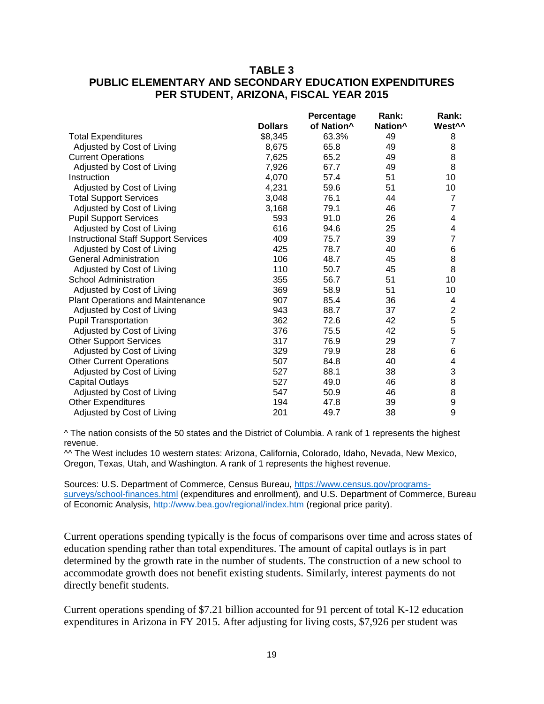# **TABLE 3 PUBLIC ELEMENTARY AND SECONDARY EDUCATION EXPENDITURES PER STUDENT, ARIZONA, FISCAL YEAR 2015**

|                                             |                | Percentage             | Rank:               | Rank:              |
|---------------------------------------------|----------------|------------------------|---------------------|--------------------|
|                                             | <b>Dollars</b> | of Nation <sup>^</sup> | Nation <sup>^</sup> | West <sup>^^</sup> |
| <b>Total Expenditures</b>                   | \$8,345        | 63.3%                  | 49                  | 8                  |
| Adjusted by Cost of Living                  | 8,675          | 65.8                   | 49                  | 8                  |
| <b>Current Operations</b>                   | 7,625          | 65.2                   | 49                  | 8                  |
| Adjusted by Cost of Living                  | 7,926          | 67.7                   | 49                  | 8                  |
| Instruction                                 | 4,070          | 57.4                   | 51                  | 10                 |
| Adjusted by Cost of Living                  | 4,231          | 59.6                   | 51                  | 10                 |
| <b>Total Support Services</b>               | 3,048          | 76.1                   | 44                  | $\overline{7}$     |
| Adjusted by Cost of Living                  | 3,168          | 79.1                   | 46                  | $\overline{7}$     |
| <b>Pupil Support Services</b>               | 593            | 91.0                   | 26                  | 4                  |
| Adjusted by Cost of Living                  | 616            | 94.6                   | 25                  | 4                  |
| <b>Instructional Staff Support Services</b> | 409            | 75.7                   | 39                  | $\overline{7}$     |
| Adjusted by Cost of Living                  | 425            | 78.7                   | 40                  | $\,$ 6 $\,$        |
| <b>General Administration</b>               | 106            | 48.7                   | 45                  | 8                  |
| Adjusted by Cost of Living                  | 110            | 50.7                   | 45                  | 8                  |
| <b>School Administration</b>                | 355            | 56.7                   | 51                  | 10                 |
| Adjusted by Cost of Living                  | 369            | 58.9                   | 51                  | 10                 |
| <b>Plant Operations and Maintenance</b>     | 907            | 85.4                   | 36                  | 4                  |
| Adjusted by Cost of Living                  | 943            | 88.7                   | 37                  | $\overline{c}$     |
| <b>Pupil Transportation</b>                 | 362            | 72.6                   | 42                  |                    |
| Adjusted by Cost of Living                  | 376            | 75.5                   | 42                  | 5<br>5<br>7        |
| <b>Other Support Services</b>               | 317            | 76.9                   | 29                  |                    |
| Adjusted by Cost of Living                  | 329            | 79.9                   | 28                  | 6                  |
| <b>Other Current Operations</b>             | 507            | 84.8                   | 40                  | 4                  |
| Adjusted by Cost of Living                  | 527            | 88.1                   | 38                  | 3                  |
| <b>Capital Outlays</b>                      | 527            | 49.0                   | 46                  | 8                  |
| Adjusted by Cost of Living                  | 547            | 50.9                   | 46                  | 8                  |
| <b>Other Expenditures</b>                   | 194            | 47.8                   | 39                  | 9                  |
| Adjusted by Cost of Living                  | 201            | 49.7                   | 38                  | 9                  |
|                                             |                |                        |                     |                    |

^ The nation consists of the 50 states and the District of Columbia. A rank of 1 represents the highest revenue.

^^ The West includes 10 western states: Arizona, California, Colorado, Idaho, Nevada, New Mexico, Oregon, Texas, Utah, and Washington. A rank of 1 represents the highest revenue.

Sources: U.S. Department of Commerce, Census Bureau, [https://www.census.gov/programs](https://www.census.gov/programs-surveys/school-finances.html)[surveys/school-finances.html](https://www.census.gov/programs-surveys/school-finances.html) (expenditures and enrollment), and U.S. Department of Commerce, Bureau of Economic Analysis,<http://www.bea.gov/regional/index.htm> (regional price parity).

Current operations spending typically is the focus of comparisons over time and across states of education spending rather than total expenditures. The amount of capital outlays is in part determined by the growth rate in the number of students. The construction of a new school to accommodate growth does not benefit existing students. Similarly, interest payments do not directly benefit students.

Current operations spending of \$7.21 billion accounted for 91 percent of total K-12 education expenditures in Arizona in FY 2015. After adjusting for living costs, \$7,926 per student was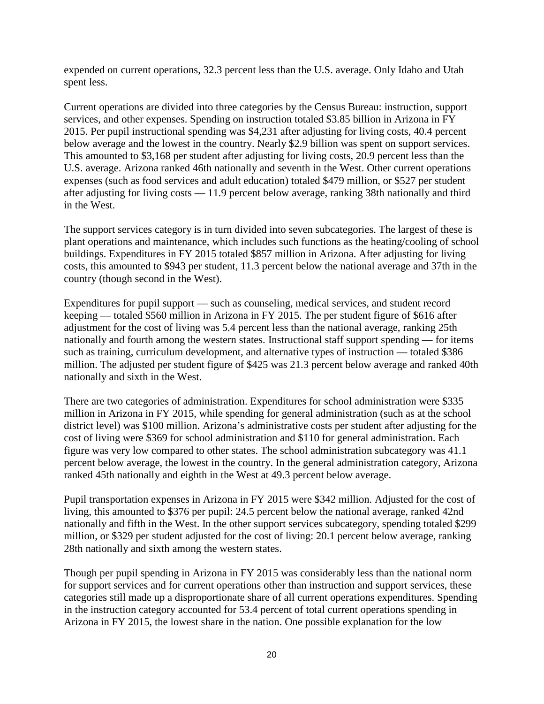expended on current operations, 32.3 percent less than the U.S. average. Only Idaho and Utah spent less.

Current operations are divided into three categories by the Census Bureau: instruction, support services, and other expenses. Spending on instruction totaled \$3.85 billion in Arizona in FY 2015. Per pupil instructional spending was \$4,231 after adjusting for living costs, 40.4 percent below average and the lowest in the country. Nearly \$2.9 billion was spent on support services. This amounted to \$3,168 per student after adjusting for living costs, 20.9 percent less than the U.S. average. Arizona ranked 46th nationally and seventh in the West. Other current operations expenses (such as food services and adult education) totaled \$479 million, or \$527 per student after adjusting for living costs — 11.9 percent below average, ranking 38th nationally and third in the West.

The support services category is in turn divided into seven subcategories. The largest of these is plant operations and maintenance, which includes such functions as the heating/cooling of school buildings. Expenditures in FY 2015 totaled \$857 million in Arizona. After adjusting for living costs, this amounted to \$943 per student, 11.3 percent below the national average and 37th in the country (though second in the West).

Expenditures for pupil support — such as counseling, medical services, and student record keeping — totaled \$560 million in Arizona in FY 2015. The per student figure of \$616 after adjustment for the cost of living was 5.4 percent less than the national average, ranking 25th nationally and fourth among the western states. Instructional staff support spending — for items such as training, curriculum development, and alternative types of instruction — totaled \$386 million. The adjusted per student figure of \$425 was 21.3 percent below average and ranked 40th nationally and sixth in the West.

There are two categories of administration. Expenditures for school administration were \$335 million in Arizona in FY 2015, while spending for general administration (such as at the school district level) was \$100 million. Arizona's administrative costs per student after adjusting for the cost of living were \$369 for school administration and \$110 for general administration. Each figure was very low compared to other states. The school administration subcategory was 41.1 percent below average, the lowest in the country. In the general administration category, Arizona ranked 45th nationally and eighth in the West at 49.3 percent below average.

Pupil transportation expenses in Arizona in FY 2015 were \$342 million. Adjusted for the cost of living, this amounted to \$376 per pupil: 24.5 percent below the national average, ranked 42nd nationally and fifth in the West. In the other support services subcategory, spending totaled \$299 million, or \$329 per student adjusted for the cost of living: 20.1 percent below average, ranking 28th nationally and sixth among the western states.

Though per pupil spending in Arizona in FY 2015 was considerably less than the national norm for support services and for current operations other than instruction and support services, these categories still made up a disproportionate share of all current operations expenditures. Spending in the instruction category accounted for 53.4 percent of total current operations spending in Arizona in FY 2015, the lowest share in the nation. One possible explanation for the low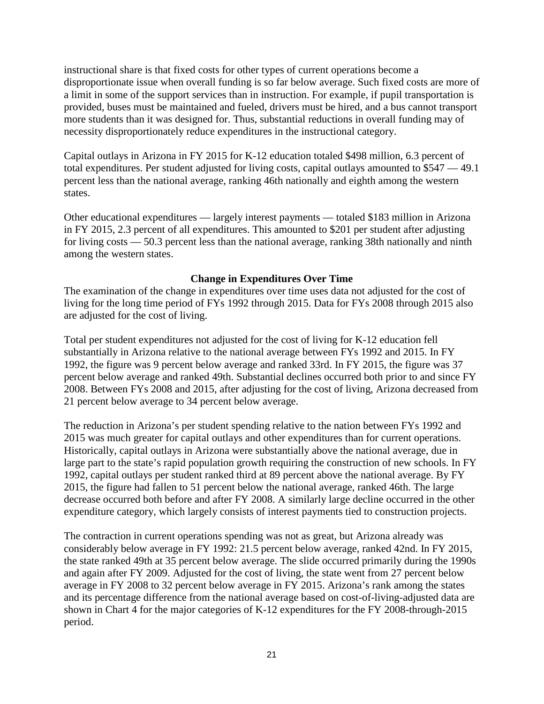instructional share is that fixed costs for other types of current operations become a disproportionate issue when overall funding is so far below average. Such fixed costs are more of a limit in some of the support services than in instruction. For example, if pupil transportation is provided, buses must be maintained and fueled, drivers must be hired, and a bus cannot transport more students than it was designed for. Thus, substantial reductions in overall funding may of necessity disproportionately reduce expenditures in the instructional category.

Capital outlays in Arizona in FY 2015 for K-12 education totaled \$498 million, 6.3 percent of total expenditures. Per student adjusted for living costs, capital outlays amounted to \$547 — 49.1 percent less than the national average, ranking 46th nationally and eighth among the western states.

Other educational expenditures — largely interest payments — totaled \$183 million in Arizona in FY 2015, 2.3 percent of all expenditures. This amounted to \$201 per student after adjusting for living costs — 50.3 percent less than the national average, ranking 38th nationally and ninth among the western states.

### **Change in Expenditures Over Time**

The examination of the change in expenditures over time uses data not adjusted for the cost of living for the long time period of FYs 1992 through 2015. Data for FYs 2008 through 2015 also are adjusted for the cost of living.

Total per student expenditures not adjusted for the cost of living for K-12 education fell substantially in Arizona relative to the national average between FYs 1992 and 2015. In FY 1992, the figure was 9 percent below average and ranked 33rd. In FY 2015, the figure was 37 percent below average and ranked 49th. Substantial declines occurred both prior to and since FY 2008. Between FYs 2008 and 2015, after adjusting for the cost of living, Arizona decreased from 21 percent below average to 34 percent below average.

The reduction in Arizona's per student spending relative to the nation between FYs 1992 and 2015 was much greater for capital outlays and other expenditures than for current operations. Historically, capital outlays in Arizona were substantially above the national average, due in large part to the state's rapid population growth requiring the construction of new schools. In FY 1992, capital outlays per student ranked third at 89 percent above the national average. By FY 2015, the figure had fallen to 51 percent below the national average, ranked 46th. The large decrease occurred both before and after FY 2008. A similarly large decline occurred in the other expenditure category, which largely consists of interest payments tied to construction projects.

The contraction in current operations spending was not as great, but Arizona already was considerably below average in FY 1992: 21.5 percent below average, ranked 42nd. In FY 2015, the state ranked 49th at 35 percent below average. The slide occurred primarily during the 1990s and again after FY 2009. Adjusted for the cost of living, the state went from 27 percent below average in FY 2008 to 32 percent below average in FY 2015. Arizona's rank among the states and its percentage difference from the national average based on cost-of-living-adjusted data are shown in Chart 4 for the major categories of K-12 expenditures for the FY 2008-through-2015 period.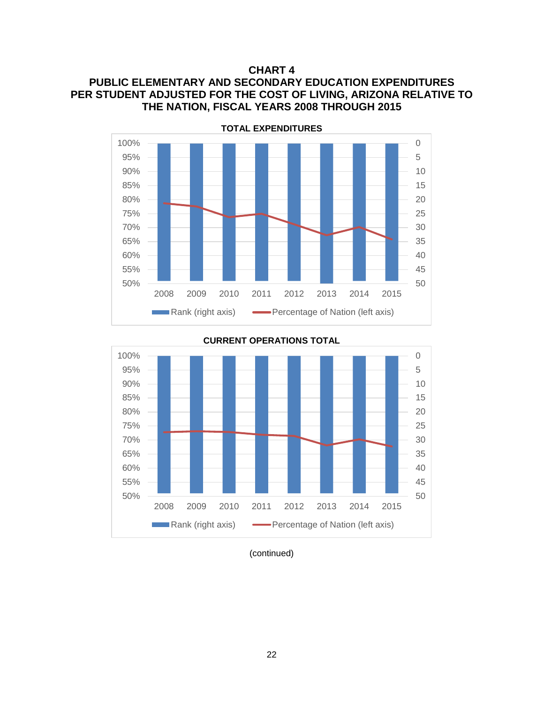**CHART 4**

# **PUBLIC ELEMENTARY AND SECONDARY EDUCATION EXPENDITURES PER STUDENT ADJUSTED FOR THE COST OF LIVING, ARIZONA RELATIVE TO THE NATION, FISCAL YEARS 2008 THROUGH 2015**





**CURRENT OPERATIONS TOTAL**

(continued)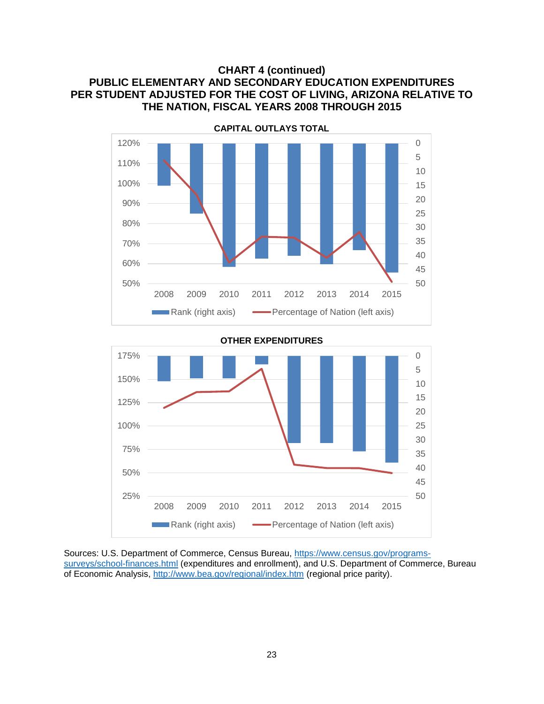# **CHART 4 (continued) PUBLIC ELEMENTARY AND SECONDARY EDUCATION EXPENDITURES PER STUDENT ADJUSTED FOR THE COST OF LIVING, ARIZONA RELATIVE TO THE NATION, FISCAL YEARS 2008 THROUGH 2015**



#### **OTHER EXPENDITURES**



Sources: U.S. Department of Commerce, Census Bureau, [https://www.census.gov/programs](https://www.census.gov/programs-surveys/school-finances.html)[surveys/school-finances.html](https://www.census.gov/programs-surveys/school-finances.html) (expenditures and enrollment), and U.S. Department of Commerce, Bureau of Economic Analysis,<http://www.bea.gov/regional/index.htm> (regional price parity).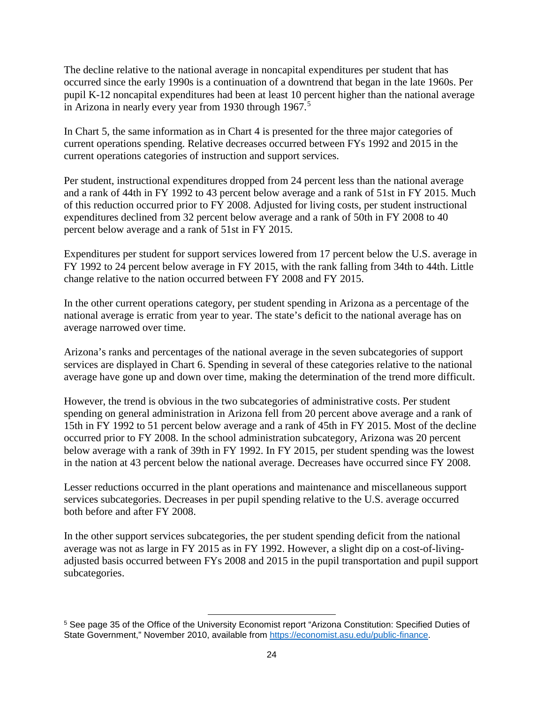The decline relative to the national average in noncapital expenditures per student that has occurred since the early 1990s is a continuation of a downtrend that began in the late 1960s. Per pupil K-12 noncapital expenditures had been at least 10 percent higher than the national average in Arizona in nearly every year from 1930 through 1967.<sup>[5](#page-25-0)</sup>

In Chart 5, the same information as in Chart 4 is presented for the three major categories of current operations spending. Relative decreases occurred between FYs 1992 and 2015 in the current operations categories of instruction and support services.

Per student, instructional expenditures dropped from 24 percent less than the national average and a rank of 44th in FY 1992 to 43 percent below average and a rank of 51st in FY 2015. Much of this reduction occurred prior to FY 2008. Adjusted for living costs, per student instructional expenditures declined from 32 percent below average and a rank of 50th in FY 2008 to 40 percent below average and a rank of 51st in FY 2015.

Expenditures per student for support services lowered from 17 percent below the U.S. average in FY 1992 to 24 percent below average in FY 2015, with the rank falling from 34th to 44th. Little change relative to the nation occurred between FY 2008 and FY 2015.

In the other current operations category, per student spending in Arizona as a percentage of the national average is erratic from year to year. The state's deficit to the national average has on average narrowed over time.

Arizona's ranks and percentages of the national average in the seven subcategories of support services are displayed in Chart 6. Spending in several of these categories relative to the national average have gone up and down over time, making the determination of the trend more difficult.

However, the trend is obvious in the two subcategories of administrative costs. Per student spending on general administration in Arizona fell from 20 percent above average and a rank of 15th in FY 1992 to 51 percent below average and a rank of 45th in FY 2015. Most of the decline occurred prior to FY 2008. In the school administration subcategory, Arizona was 20 percent below average with a rank of 39th in FY 1992. In FY 2015, per student spending was the lowest in the nation at 43 percent below the national average. Decreases have occurred since FY 2008.

Lesser reductions occurred in the plant operations and maintenance and miscellaneous support services subcategories. Decreases in per pupil spending relative to the U.S. average occurred both before and after FY 2008.

In the other support services subcategories, the per student spending deficit from the national average was not as large in FY 2015 as in FY 1992. However, a slight dip on a cost-of-livingadjusted basis occurred between FYs 2008 and 2015 in the pupil transportation and pupil support subcategories.

l

<span id="page-25-0"></span><sup>5</sup> See page 35 of the Office of the University Economist report "Arizona Constitution: Specified Duties of State Government," November 2010, available from [https://economist.asu.edu/public-finance.](https://economist.asu.edu/public-finance)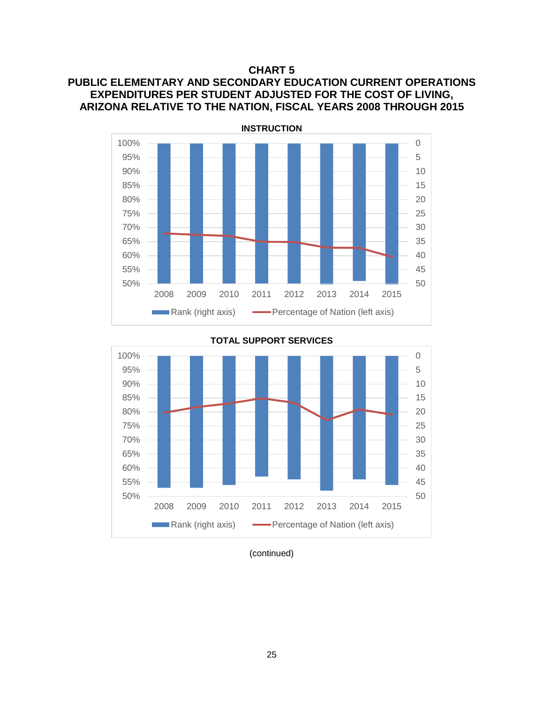#### **CHART 5**

# **PUBLIC ELEMENTARY AND SECONDARY EDUCATION CURRENT OPERATIONS EXPENDITURES PER STUDENT ADJUSTED FOR THE COST OF LIVING, ARIZONA RELATIVE TO THE NATION, FISCAL YEARS 2008 THROUGH 2015**





**TOTAL SUPPORT SERVICES**

<sup>(</sup>continued)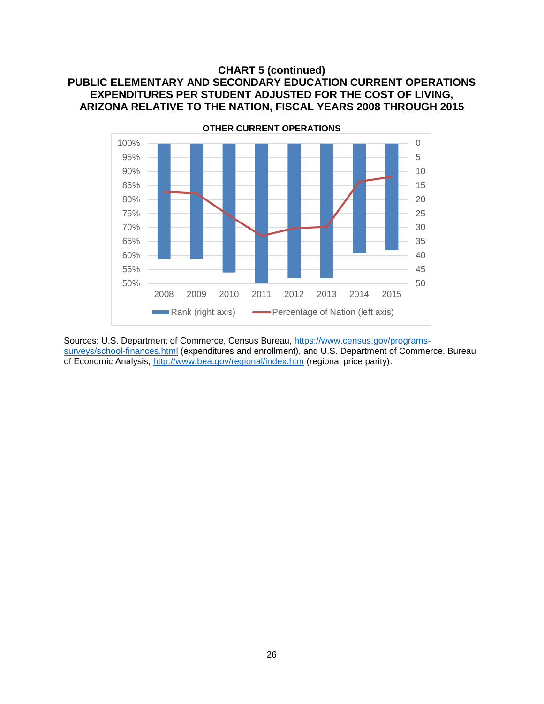# **CHART 5 (continued) PUBLIC ELEMENTARY AND SECONDARY EDUCATION CURRENT OPERATIONS EXPENDITURES PER STUDENT ADJUSTED FOR THE COST OF LIVING, ARIZONA RELATIVE TO THE NATION, FISCAL YEARS 2008 THROUGH 2015**



Sources: U.S. Department of Commerce, Census Bureau, [https://www.census.gov/programs](https://www.census.gov/programs-surveys/school-finances.html)[surveys/school-finances.html](https://www.census.gov/programs-surveys/school-finances.html) (expenditures and enrollment), and U.S. Department of Commerce, Bureau of Economic Analysis,<http://www.bea.gov/regional/index.htm> (regional price parity).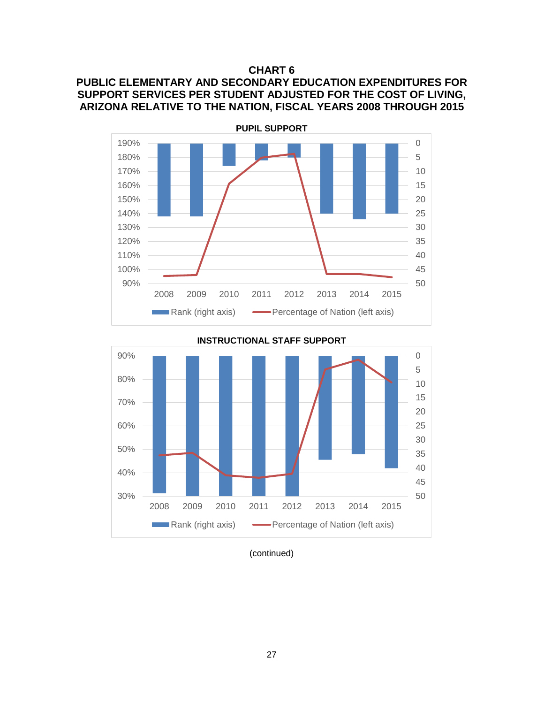### **CHART 6**

# **PUBLIC ELEMENTARY AND SECONDARY EDUCATION EXPENDITURES FOR SUPPORT SERVICES PER STUDENT ADJUSTED FOR THE COST OF LIVING, ARIZONA RELATIVE TO THE NATION, FISCAL YEARS 2008 THROUGH 2015**



**INSTRUCTIONAL STAFF SUPPORT**



(continued)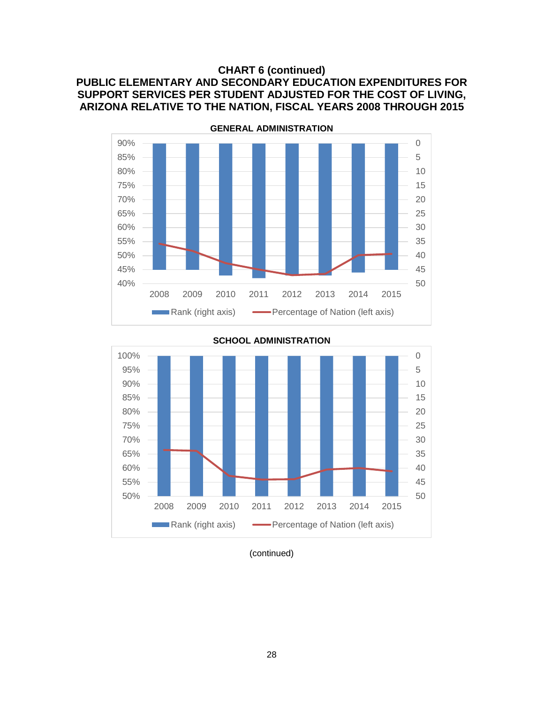# **CHART 6 (continued) PUBLIC ELEMENTARY AND SECONDARY EDUCATION EXPENDITURES FOR SUPPORT SERVICES PER STUDENT ADJUSTED FOR THE COST OF LIVING, ARIZONA RELATIVE TO THE NATION, FISCAL YEARS 2008 THROUGH 2015**





**SCHOOL ADMINISTRATION**

(continued)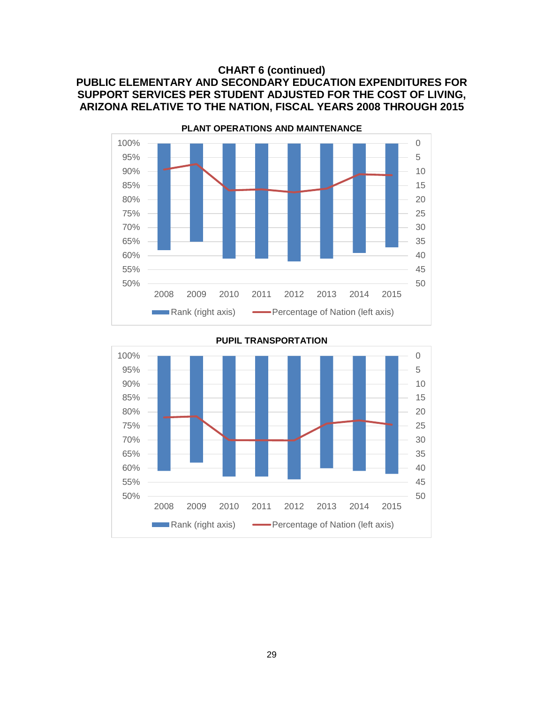# **CHART 6 (continued) PUBLIC ELEMENTARY AND SECONDARY EDUCATION EXPENDITURES FOR SUPPORT SERVICES PER STUDENT ADJUSTED FOR THE COST OF LIVING, ARIZONA RELATIVE TO THE NATION, FISCAL YEARS 2008 THROUGH 2015**





**PUPIL TRANSPORTATION**